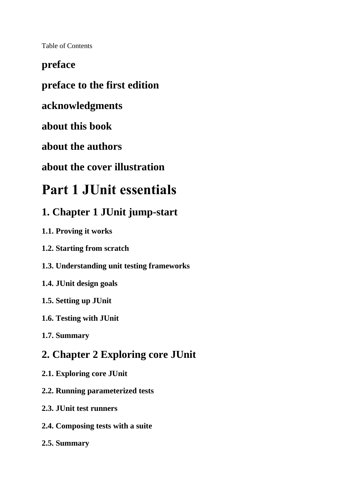Table of Contents

### **preface**

## **preface to the first edition**

#### **acknowledgments**

**about this book**

**about the authors**

**about the cover illustration**

## **Part 1 JUnit essentials**

## **1. Chapter 1 JUnit jump-start**

- **1.1. Proving it works**
- **1.2. Starting from scratch**
- **1.3. Understanding unit testing frameworks**
- **1.4. JUnit design goals**
- **1.5. Setting up JUnit**
- **1.6. Testing with JUnit**
- **1.7. Summary**

## **2. Chapter 2 Exploring core JUnit**

- **2.1. Exploring core JUnit**
- **2.2. Running parameterized tests**
- **2.3. JUnit test runners**
- **2.4. Composing tests with a suite**
- **2.5. Summary**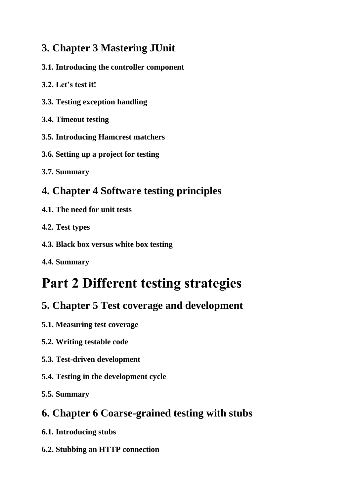## **3. Chapter 3 Mastering JUnit**

- **3.1. Introducing the controller component**
- **3.2. Let's test it!**
- **3.3. Testing exception handling**
- **3.4. Timeout testing**
- **3.5. Introducing Hamcrest matchers**
- **3.6. Setting up a project for testing**
- **3.7. Summary**

## **4. Chapter 4 Software testing principles**

- **4.1. The need for unit tests**
- **4.2. Test types**
- **4.3. Black box versus white box testing**
- **4.4. Summary**

# **Part 2 Different testing strategies**

## **5. Chapter 5 Test coverage and development**

- **5.1. Measuring test coverage**
- **5.2. Writing testable code**
- **5.3. Test-driven development**
- **5.4. Testing in the development cycle**
- **5.5. Summary**

## **6. Chapter 6 Coarse-grained testing with stubs**

- **6.1. Introducing stubs**
- **6.2. Stubbing an HTTP connection**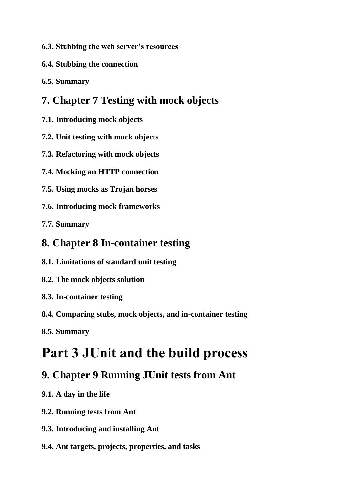- **6.3. Stubbing the web server's resources**
- **6.4. Stubbing the connection**
- **6.5. Summary**

## **7. Chapter 7 Testing with mock objects**

- **7.1. Introducing mock objects**
- **7.2. Unit testing with mock objects**
- **7.3. Refactoring with mock objects**
- **7.4. Mocking an HTTP connection**
- **7.5. Using mocks as Trojan horses**
- **7.6. Introducing mock frameworks**

**7.7. Summary**

## **8. Chapter 8 In-container testing**

- **8.1. Limitations of standard unit testing**
- **8.2. The mock objects solution**
- **8.3. In-container testing**
- **8.4. Comparing stubs, mock objects, and in-container testing**
- **8.5. Summary**

## **Part 3 JUnit and the build process**

## **9. Chapter 9 Running JUnit tests from Ant**

- **9.1. A day in the life**
- **9.2. Running tests from Ant**
- **9.3. Introducing and installing Ant**
- **9.4. Ant targets, projects, properties, and tasks**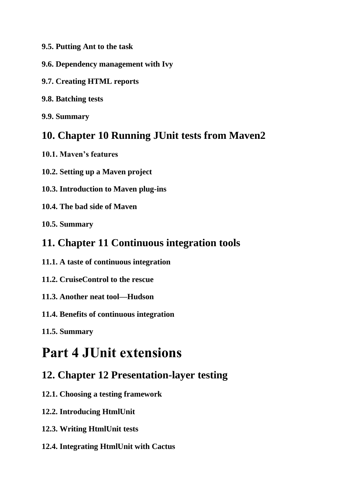**9.5. Putting Ant to the task**

- **9.6. Dependency management with Ivy**
- **9.7. Creating HTML reports**
- **9.8. Batching tests**

**9.9. Summary**

#### **10. Chapter 10 Running JUnit tests from Maven2**

- **10.1. Maven's features**
- **10.2. Setting up a Maven project**
- **10.3. Introduction to Maven plug-ins**
- **10.4. The bad side of Maven**

**10.5. Summary**

#### **11. Chapter 11 Continuous integration tools**

- **11.1. A taste of continuous integration**
- **11.2. CruiseControl to the rescue**
- **11.3. Another neat tool—Hudson**
- **11.4. Benefits of continuous integration**
- **11.5. Summary**

## **Part 4 JUnit extensions**

### **12. Chapter 12 Presentation-layer testing**

- **12.1. Choosing a testing framework**
- **12.2. Introducing HtmlUnit**
- **12.3. Writing HtmlUnit tests**
- **12.4. Integrating HtmlUnit with Cactus**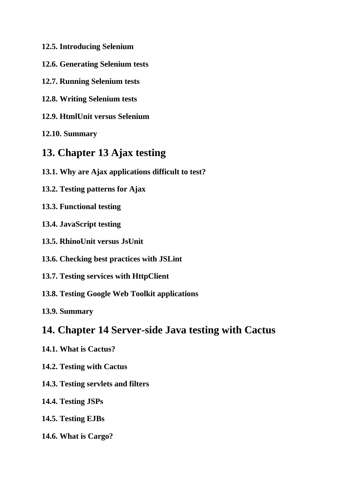- **12.5. Introducing Selenium**
- **12.6. Generating Selenium tests**
- **12.7. Running Selenium tests**
- **12.8. Writing Selenium tests**
- **12.9. HtmlUnit versus Selenium**

**12.10. Summary**

### **13. Chapter 13 Ajax testing**

- **13.1. Why are Ajax applications difficult to test?**
- **13.2. Testing patterns for Ajax**
- **13.3. Functional testing**
- **13.4. JavaScript testing**
- **13.5. RhinoUnit versus JsUnit**
- **13.6. Checking best practices with JSLint**
- **13.7. Testing services with HttpClient**
- **13.8. Testing Google Web Toolkit applications**

**13.9. Summary**

#### **14. Chapter 14 Server-side Java testing with Cactus**

- **14.1. What is Cactus?**
- **14.2. Testing with Cactus**
- **14.3. Testing servlets and filters**
- **14.4. Testing JSPs**
- **14.5. Testing EJBs**
- **14.6. What is Cargo?**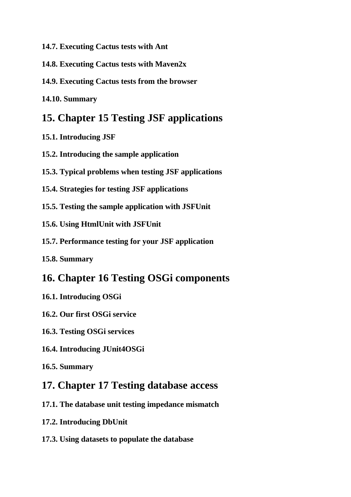- **14.7. Executing Cactus tests with Ant**
- **14.8. Executing Cactus tests with Maven2x**
- **14.9. Executing Cactus tests from the browser**
- **14.10. Summary**

#### **15. Chapter 15 Testing JSF applications**

- **15.1. Introducing JSF**
- **15.2. Introducing the sample application**
- **15.3. Typical problems when testing JSF applications**
- **15.4. Strategies for testing JSF applications**
- **15.5. Testing the sample application with JSFUnit**
- **15.6. Using HtmlUnit with JSFUnit**
- **15.7. Performance testing for your JSF application**
- **15.8. Summary**

#### **16. Chapter 16 Testing OSGi components**

- **16.1. Introducing OSGi**
- **16.2. Our first OSGi service**
- **16.3. Testing OSGi services**
- **16.4. Introducing JUnit4OSGi**
- **16.5. Summary**

#### **17. Chapter 17 Testing database access**

- **17.1. The database unit testing impedance mismatch**
- **17.2. Introducing DbUnit**
- **17.3. Using datasets to populate the database**